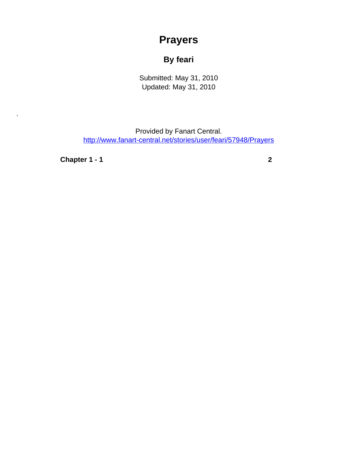## **Prayers**

## **By feari**

Submitted: May 31, 2010 Updated: May 31, 2010

Provided by Fanart Central. [http://www.fanart-central.net/stories/user/feari/57948/Prayers](#page-0-0)

**[Chapter 1 - 1](#page-1-0) [2](#page-1-0)**

<span id="page-0-0"></span>.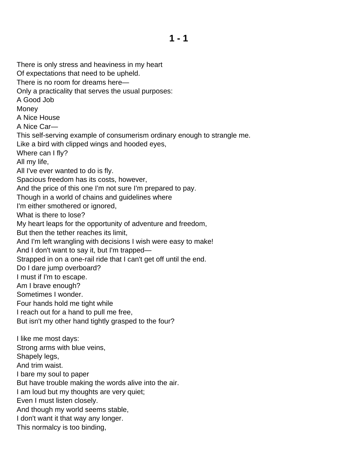<span id="page-1-0"></span>There is only stress and heaviness in my heart Of expectations that need to be upheld. There is no room for dreams here— Only a practicality that serves the usual purposes: A Good Job Money A Nice House A Nice Car— This self-serving example of consumerism ordinary enough to strangle me. Like a bird with clipped wings and hooded eyes, Where can I fly? All my life, All I've ever wanted to do is fly. Spacious freedom has its costs, however, And the price of this one I'm not sure I'm prepared to pay. Though in a world of chains and guidelines where I'm either smothered or ignored, What is there to lose? My heart leaps for the opportunity of adventure and freedom, But then the tether reaches its limit, And I'm left wrangling with decisions I wish were easy to make! And I don't want to say it, but I'm trapped— Strapped in on a one-rail ride that I can't get off until the end. Do I dare jump overboard? I must if I'm to escape. Am I brave enough? Sometimes I wonder. Four hands hold me tight while I reach out for a hand to pull me free, But isn't my other hand tightly grasped to the four? I like me most days: Strong arms with blue veins, Shapely legs, And trim waist. I bare my soul to paper But have trouble making the words alive into the air. I am loud but my thoughts are very quiet; Even I must listen closely. And though my world seems stable, I don't want it that way any longer. This normalcy is too binding,